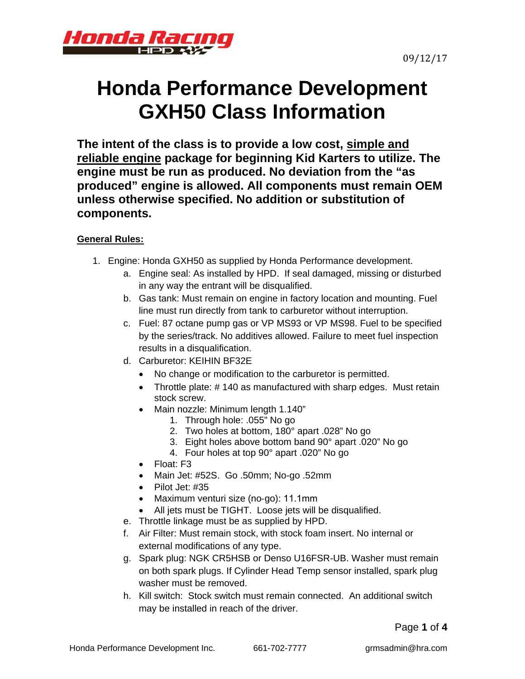



# **Honda Performance Development GXH50 Class Information**

**The intent of the class is to provide a low cost, simple and reliable engine package for beginning Kid Karters to utilize. The engine must be run as produced. No deviation from the "as produced" engine is allowed. All components must remain OEM unless otherwise specified. No addition or substitution of components.** 

## **General Rules:**

- 1. Engine: Honda GXH50 as supplied by Honda Performance development.
	- a. Engine seal: As installed by HPD. If seal damaged, missing or disturbed in any way the entrant will be disqualified.
	- b. Gas tank: Must remain on engine in factory location and mounting. Fuel line must run directly from tank to carburetor without interruption.
	- c. Fuel: 87 octane pump gas or VP MS93 or VP MS98. Fuel to be specified by the series/track. No additives allowed. Failure to meet fuel inspection results in a disqualification.
	- d. Carburetor: KEIHIN BF32E
		- No change or modification to the carburetor is permitted.
		- Throttle plate: #140 as manufactured with sharp edges. Must retain stock screw.
		- Main nozzle: Minimum length 1.140"
			- 1. Through hole: .055" No go
				- 2. Two holes at bottom, 180° apart .028" No go
				- 3. Eight holes above bottom band 90° apart .020" No go
			- 4. Four holes at top 90° apart .020" No go
		- Float: F3
		- Main Jet: #52S. Go .50mm; No-go .52mm
		- $\bullet$  Pilot Jet: #35
		- Maximum venturi size (no-go): 11.1mm
		- All jets must be TIGHT. Loose jets will be disqualified.
	- e. Throttle linkage must be as supplied by HPD.
	- f. Air Filter: Must remain stock, with stock foam insert. No internal or external modifications of any type.
	- g. Spark plug: NGK CR5HSB or Denso U16FSR-UB. Washer must remain on both spark plugs. If Cylinder Head Temp sensor installed, spark plug washer must be removed.
	- h. Kill switch: Stock switch must remain connected. An additional switch may be installed in reach of the driver.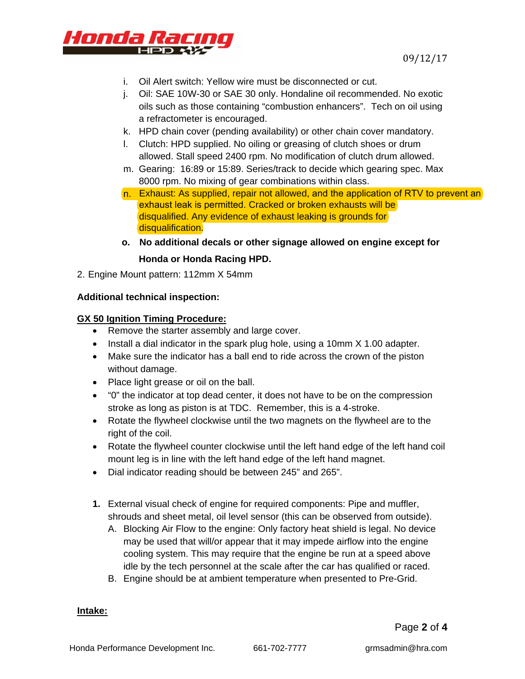

- i. Oil Alert switch: Yellow wire must be disconnected or cut.
- j. Oil: SAE 10W-30 or SAE 30 only. Hondaline oil recommended. No exotic oils such as those containing "combustion enhancers". Tech on oil using a refractometer is encouraged.
- k. HPD chain cover (pending availability) or other chain cover mandatory.
- l. Clutch: HPD supplied. No oiling or greasing of clutch shoes or drum allowed. Stall speed 2400 rpm. No modification of clutch drum allowed.
- m. Gearing: 16:89 or 15:89. Series/track to decide which gearing spec. Max 8000 rpm. No mixing of gear combinations within class.
- n. Exhaust: As supplied, repair not allowed, and the application of RTV to prevent an exhaust leak is permitted. Cracked or broken exhausts will be disqualified. Any evidence of exhaust leaking is grounds for disqualification.
- **o. No additional decals or other signage allowed on engine except for Honda or Honda Racing HPD.**
- 2. Engine Mount pattern: 112mm X 54mm

#### **Additional technical inspection:**

#### **GX 50 Ignition Timing Procedure:**

- Remove the starter assembly and large cover.
- Install a dial indicator in the spark plug hole, using a 10mm  $X$  1.00 adapter.
- Make sure the indicator has a ball end to ride across the crown of the piston without damage.
- Place light grease or oil on the ball.
- "0" the indicator at top dead center, it does not have to be on the compression stroke as long as piston is at TDC. Remember, this is a 4-stroke.
- Rotate the flywheel clockwise until the two magnets on the flywheel are to the right of the coil.
- Rotate the flywheel counter clockwise until the left hand edge of the left hand coil mount leg is in line with the left hand edge of the left hand magnet.
- Dial indicator reading should be between 245" and 265".
- **1.** External visual check of engine for required components: Pipe and muffler, shrouds and sheet metal, oil level sensor (this can be observed from outside).
	- A. Blocking Air Flow to the engine: Only factory heat shield is legal. No device may be used that will/or appear that it may impede airflow into the engine cooling system. This may require that the engine be run at a speed above idle by the tech personnel at the scale after the car has qualified or raced.
	- B. Engine should be at ambient temperature when presented to Pre-Grid.

#### **Intake:**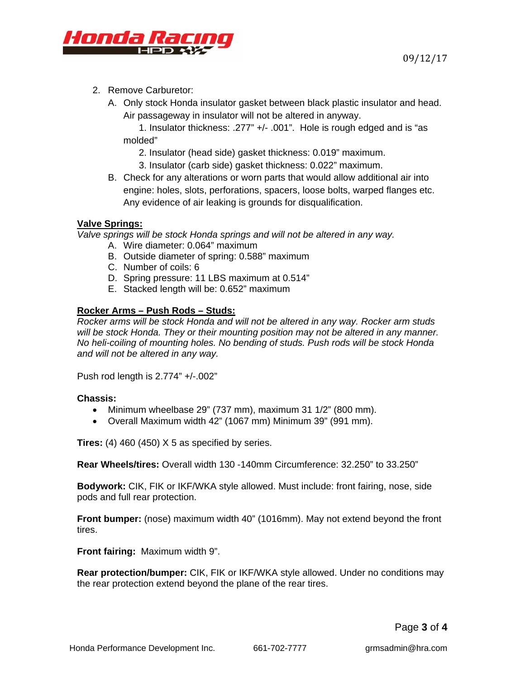

- 2. Remove Carburetor:
	- A. Only stock Honda insulator gasket between black plastic insulator and head. Air passageway in insulator will not be altered in anyway.

1. Insulator thickness: .277" +/- .001". Hole is rough edged and is "as molded"

- 2. Insulator (head side) gasket thickness: 0.019" maximum.
- 3. Insulator (carb side) gasket thickness: 0.022" maximum.
- B. Check for any alterations or worn parts that would allow additional air into engine: holes, slots, perforations, spacers, loose bolts, warped flanges etc. Any evidence of air leaking is grounds for disqualification.

#### **Valve Springs:**

*Valve springs will be stock Honda springs and will not be altered in any way.* 

- A. Wire diameter: 0.064" maximum
- B. Outside diameter of spring: 0.588" maximum
- C. Number of coils: 6
- D. Spring pressure: 11 LBS maximum at 0.514"
- E. Stacked length will be: 0.652" maximum

#### **Rocker Arms – Push Rods – Studs:**

*Rocker arms will be stock Honda and will not be altered in any way. Rocker arm studs will be stock Honda. They or their mounting position may not be altered in any manner. No heli-coiling of mounting holes. No bending of studs. Push rods will be stock Honda and will not be altered in any way.* 

Push rod length is 2.774" +/-.002"

#### **Chassis:**

- $\bullet$  Minimum wheelbase 29" (737 mm), maximum 31 1/2" (800 mm).
- Overall Maximum width 42" (1067 mm) Minimum 39" (991 mm).

**Tires:** (4) 460 (450) X 5 as specified by series.

**Rear Wheels/tires:** Overall width 130 -140mm Circumference: 32.250" to 33.250"

**Bodywork:** CIK, FIK or IKF/WKA style allowed. Must include: front fairing, nose, side pods and full rear protection.

**Front bumper:** (nose) maximum width 40" (1016mm). May not extend beyond the front tires.

**Front fairing:** Maximum width 9".

**Rear protection/bumper:** CIK, FIK or IKF/WKA style allowed. Under no conditions may the rear protection extend beyond the plane of the rear tires.